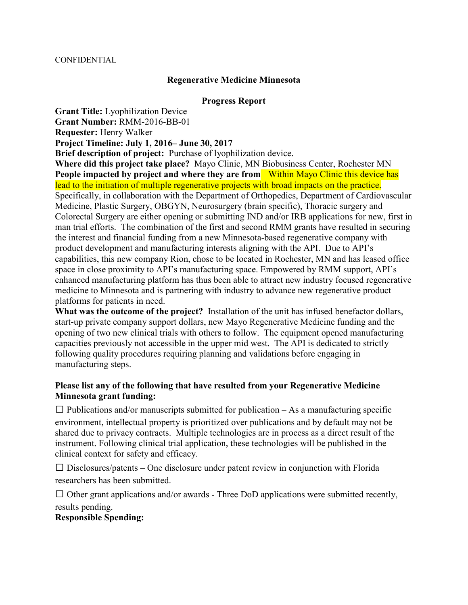## **Regenerative Medicine Minnesota**

## **Progress Report**

**Grant Title:** Lyophilization Device

**Grant Number:** RMM-2016-BB-01

**Requester:** Henry Walker

**Project Timeline: July 1, 2016– June 30, 2017** 

**Brief description of project:** Purchase of lyophilization device.

**Where did this project take place?** Mayo Clinic, MN Biobusiness Center, Rochester MN People impacted by project and where they are from Within Mayo Clinic this device has lead to the initiation of multiple regenerative projects with broad impacts on the practice. Specifically, in collaboration with the Department of Orthopedics, Department of Cardiovascular Medicine, Plastic Surgery, OBGYN, Neurosurgery (brain specific), Thoracic surgery and Colorectal Surgery are either opening or submitting IND and/or IRB applications for new, first in man trial efforts. The combination of the first and second RMM grants have resulted in securing the interest and financial funding from a new Minnesota-based regenerative company with product development and manufacturing interests aligning with the API. Due to API's capabilities, this new company Rion, chose to be located in Rochester, MN and has leased office space in close proximity to API's manufacturing space. Empowered by RMM support, API's enhanced manufacturing platform has thus been able to attract new industry focused regenerative medicine to Minnesota and is partnering with industry to advance new regenerative product platforms for patients in need.

**What was the outcome of the project?** Installation of the unit has infused benefactor dollars, start-up private company support dollars, new Mayo Regenerative Medicine funding and the opening of two new clinical trials with others to follow. The equipment opened manufacturing capacities previously not accessible in the upper mid west. The API is dedicated to strictly following quality procedures requiring planning and validations before engaging in manufacturing steps.

## **Please list any of the following that have resulted from your Regenerative Medicine Minnesota grant funding:**

 $\Box$  Publications and/or manuscripts submitted for publication  $-As$  a manufacturing specific environment, intellectual property is prioritized over publications and by default may not be shared due to privacy contracts. Multiple technologies are in process as a direct result of the instrument. Following clinical trial application, these technologies will be published in the clinical context for safety and efficacy.

 $\Box$  Disclosures/patents – One disclosure under patent review in conjunction with Florida researchers has been submitted.

 $\Box$  Other grant applications and/or awards - Three DoD applications were submitted recently, results pending.

## **Responsible Spending:**